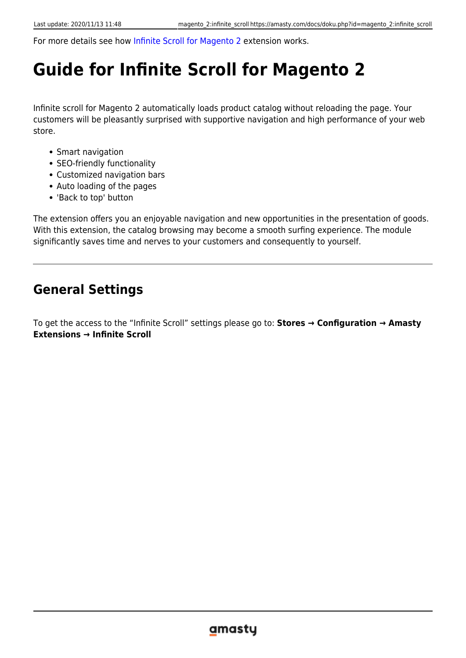For more details see how [Infinite Scroll for Magento 2](https://infinite-scroll-m2.magento-demo.amasty.com/index.php/collections/yoga-new.html) extension works.

### **Guide for Infinite Scroll for Magento 2**

Infinite scroll for Magento 2 automatically loads product catalog without reloading the page. Your customers will be pleasantly surprised with supportive navigation and high performance of your web store.

- Smart navigation
- SEO-friendly functionality
- Customized navigation bars
- Auto loading of the pages
- 'Back to top' button

The extension offers you an enjoyable navigation and new opportunities in the presentation of goods. With this extension, the catalog browsing may become a smooth surfing experience. The module significantly saves time and nerves to your customers and consequently to yourself.

### **General Settings**

To get the access to the "Infinite Scroll" settings please go to: **Stores → Configuration → Amasty Extensions → Infinite Scroll**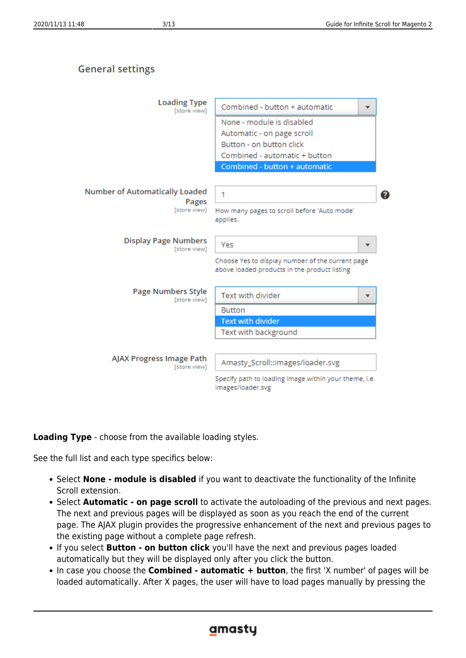### **General settings**



#### **Loading Type** - choose from the available loading styles.

See the full list and each type specifics below:

- **Select None module is disabled** if you want to deactivate the functionality of the Infinite Scroll extension.
- **Select Automatic on page scroll** to activate the autoloading of the previous and next pages. The next and previous pages will be displayed as soon as you reach the end of the current page. The AJAX plugin provides the progressive enhancement of the next and previous pages to the existing page without a complete page refresh.
- If you select **Button on button click** you'll have the next and previous pages loaded automatically but they will be displayed only after you click the button.
- In case you choose the **Combined automatic + button**, the first 'X number' of pages will be loaded automatically. After X pages, the user will have to load pages manually by pressing the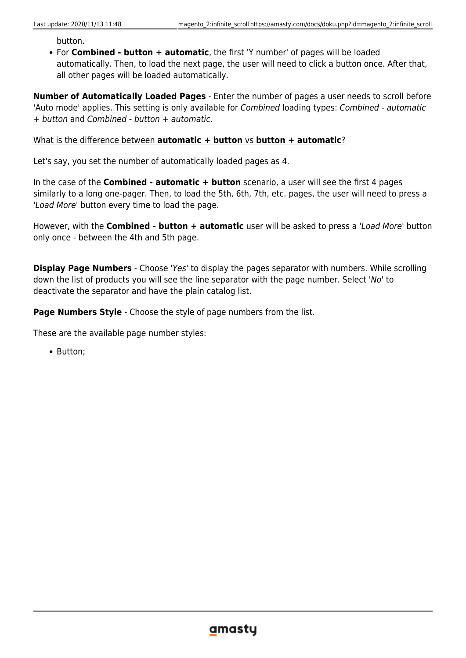button.

For **Combined - button + automatic**, the first 'Y number' of pages will be loaded automatically. Then, to load the next page, the user will need to click a button once. After that, all other pages will be loaded automatically.

**Number of Automatically Loaded Pages** - Enter the number of pages a user needs to scroll before 'Auto mode' applies. This setting is only available for Combined loading types: Combined - automatic + button and Combined - button + automatic.

#### What is the difference between **automatic + button** vs **button + automatic**?

Let's say, you set the number of automatically loaded pages as 4.

In the case of the **Combined - automatic + button** scenario, a user will see the first 4 pages similarly to a long one-pager. Then, to load the 5th, 6th, 7th, etc. pages, the user will need to press a 'Load More' button every time to load the page.

However, with the **Combined - button + automatic** user will be asked to press a 'Load More' button only once - between the 4th and 5th page.

**Display Page Numbers** - Choose 'Yes' to display the pages separator with numbers. While scrolling down the list of products you will see the line separator with the page number. Select 'No' to deactivate the separator and have the plain catalog list.

**Page Numbers Style** - Choose the style of page numbers from the list.

These are the available page number styles:

• Button: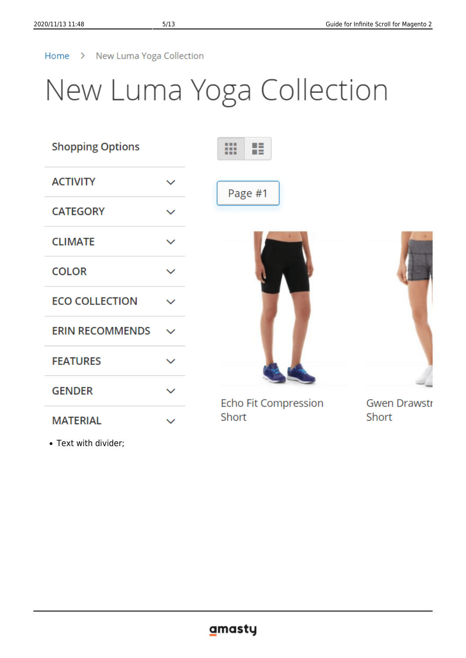### Home > New Luma Yoga Collection

## New Luma Yoga Collection

| <b>Shopping Options</b> |              | 佳<br>m<br>m          |                     |
|-------------------------|--------------|----------------------|---------------------|
| <b>ACTIVITY</b>         | $\checkmark$ | Page #1              |                     |
| <b>CATEGORY</b>         | $\checkmark$ |                      |                     |
| <b>CLIMATE</b>          | $\checkmark$ |                      |                     |
| <b>COLOR</b>            | $\checkmark$ |                      |                     |
| <b>ECO COLLECTION</b>   |              |                      |                     |
| <b>ERIN RECOMMENDS</b>  | $\checkmark$ |                      |                     |
| <b>FEATURES</b>         | $\checkmark$ |                      |                     |
| <b>GENDER</b>           | $\checkmark$ | Echo Fit Compression | <b>Gwen Drawstr</b> |
| <b>MATERIAL</b>         | $\checkmark$ | Short                | Short               |

• Text with divider;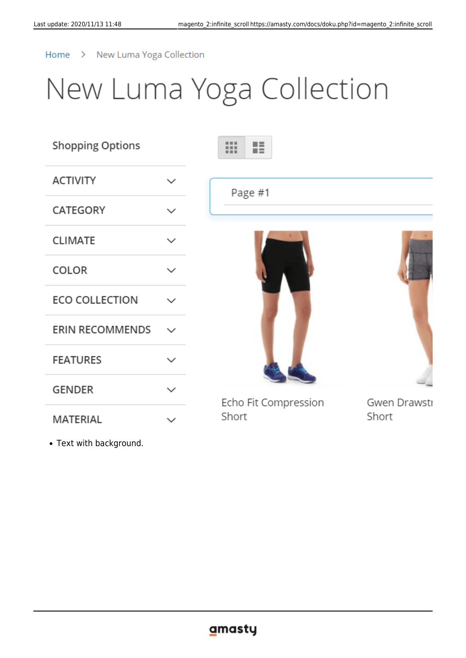### Home > New Luma Yoga Collection

## New Luma Yoga Collection

| <b>Shopping Options</b> |              | H<br><br>.                           |
|-------------------------|--------------|--------------------------------------|
| <b>ACTIVITY</b>         | $\checkmark$ | Page #1                              |
| CATEGORY                | $\checkmark$ |                                      |
| <b>CLIMATE</b>          | $\checkmark$ |                                      |
| <b>COLOR</b>            | $\checkmark$ |                                      |
| <b>ECO COLLECTION</b>   | $\checkmark$ |                                      |
| <b>ERIN RECOMMENDS</b>  | $\checkmark$ |                                      |
| <b>FEATURES</b>         | $\checkmark$ |                                      |
| <b>GENDER</b>           | $\checkmark$ | Echo Fit Compression<br>Gwen Drawsti |
| MATERIAL                | $\checkmark$ | Short<br>Short                       |

Text with background.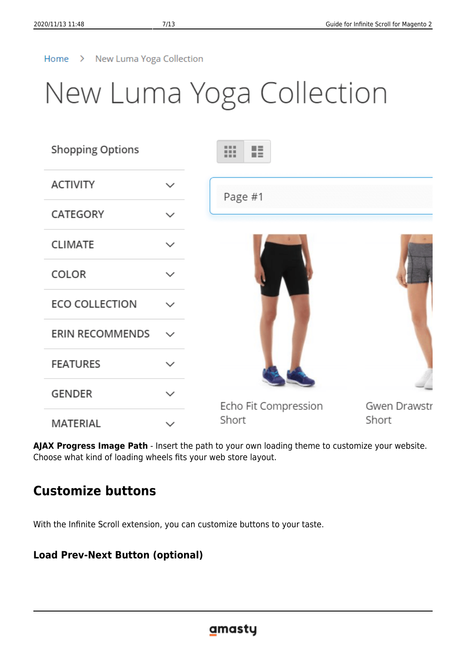#### Home > New Luma Yoga Collection

### New Luma Yoga Collection

| <b>Shopping Options</b> |              | H<br>₩               |              |
|-------------------------|--------------|----------------------|--------------|
| <b>ACTIVITY</b>         | $\checkmark$ | Page #1              |              |
| CATEGORY                | $\checkmark$ |                      |              |
| <b>CLIMATE</b>          | $\checkmark$ |                      |              |
| COLOR                   | $\checkmark$ |                      |              |
| <b>ECO COLLECTION</b>   |              |                      |              |
| <b>ERIN RECOMMENDS</b>  | $\checkmark$ |                      |              |
| <b>FEATURES</b>         | $\checkmark$ |                      |              |
| <b>GENDER</b>           | $\checkmark$ | Echo Fit Compression | Gwen Drawstr |
| <b>MATERIAL</b>         | $\checkmark$ | Short                | Short        |

**AJAX Progress Image Path** - Insert the path to your own loading theme to customize your website. Choose what kind of loading wheels fits your web store layout.

### **Customize buttons**

With the Infinite Scroll extension, you can customize buttons to your taste.

### **Load Prev-Next Button (optional)**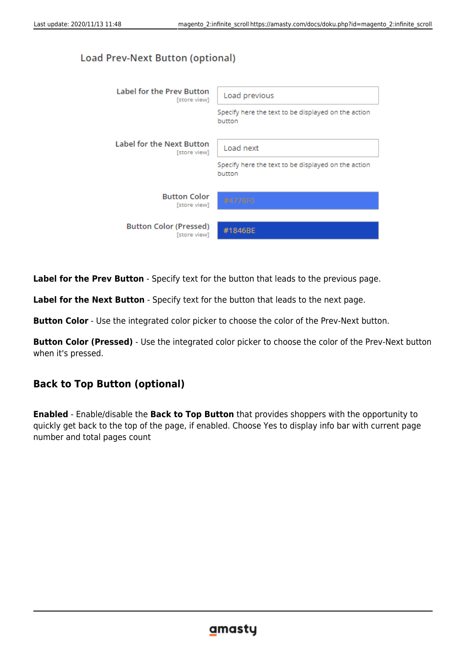### Load Prev-Next Button (optional)



**Label for the Prev Button** - Specify text for the button that leads to the previous page.

**Label for the Next Button** - Specify text for the button that leads to the next page.

**Button Color** - Use the integrated color picker to choose the color of the Prev-Next button.

**Button Color (Pressed)** - Use the integrated color picker to choose the color of the Prev-Next button when it's pressed.

### **Back to Top Button (optional)**

**Enabled** - Enable/disable the **Back to Top Button** that provides shoppers with the opportunity to quickly get back to the top of the page, if enabled. Choose Yes to display info bar with current page number and total pages count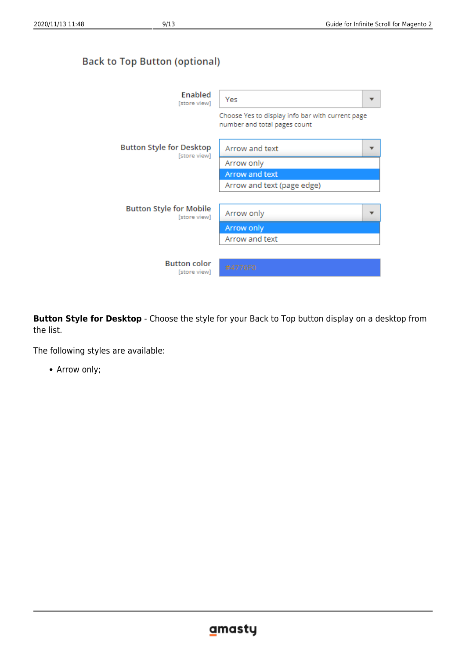### **Back to Top Button (optional)**

| Enabled<br>[store view]                         | Yes                                                                              |
|-------------------------------------------------|----------------------------------------------------------------------------------|
|                                                 | Choose Yes to display info bar with current page<br>number and total pages count |
| <b>Button Style for Desktop</b><br>[store view] | Arrow and text                                                                   |
|                                                 | Arrow only                                                                       |
|                                                 | Arrow and text                                                                   |
|                                                 | Arrow and text (page edge)                                                       |
|                                                 |                                                                                  |
| <b>Button Style for Mobile</b><br>[store view]  | Arrow only                                                                       |
|                                                 | Arrow only                                                                       |
|                                                 | Arrow and text                                                                   |
|                                                 |                                                                                  |
| <b>Button color</b><br>[store view]             | #4776F0                                                                          |

**Button Style for Desktop** - Choose the style for your Back to Top button display on a desktop from the list.

The following styles are available:

Arrow only;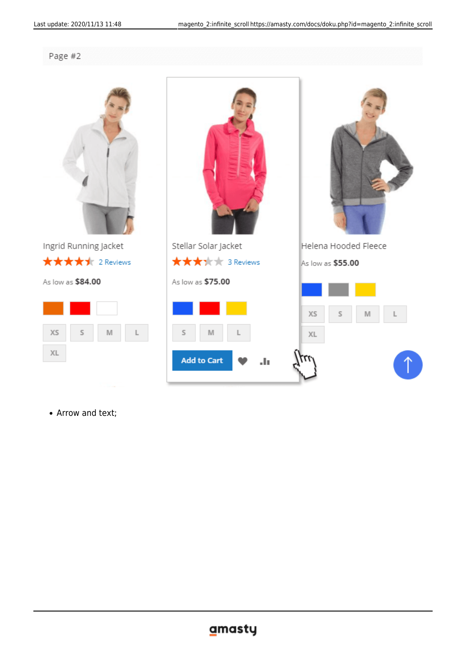Page #2



Ingrid Running Jacket ★★★★★ 2 Reviews

As low as \$84.00





Arrow and text;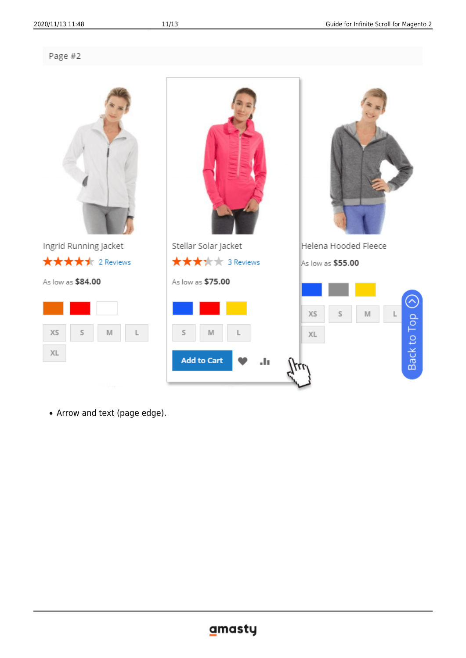Page #2



Arrow and text (page edge).

### gmasty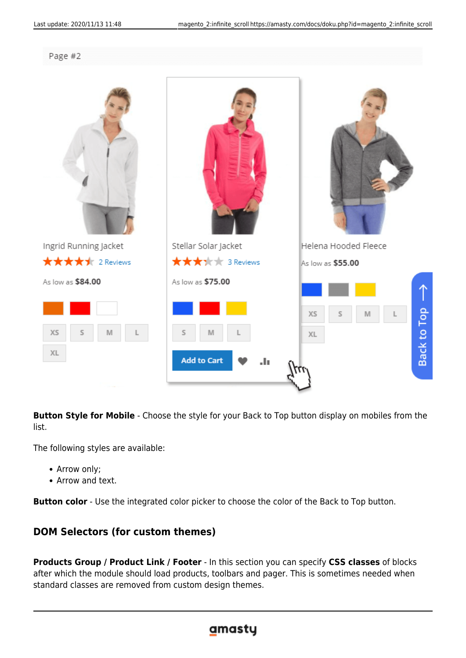```
Page #2
```


**Button Style for Mobile** - Choose the style for your Back to Top button display on mobiles from the list.

The following styles are available:

- Arrow only;
- Arrow and text.

**Button color** - Use the integrated color picker to choose the color of the Back to Top button.

### **DOM Selectors (for custom themes)**

**Products Group / Product Link / Footer** - In this section you can specify **CSS classes** of blocks after which the module should load products, toolbars and pager. This is sometimes needed when standard classes are removed from custom design themes.